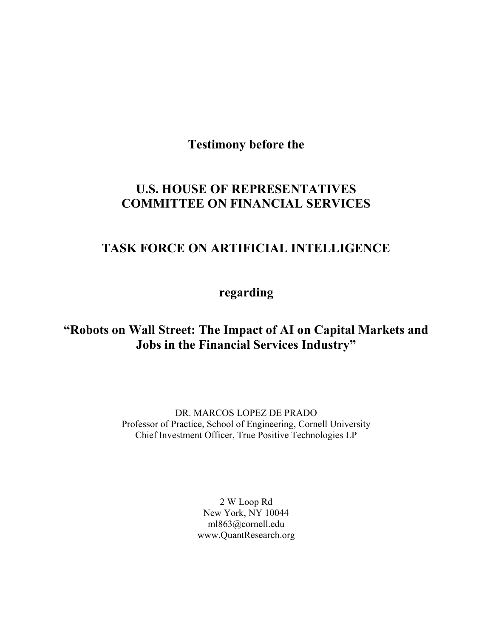Testimony before the

# U.S. HOUSE OF REPRESENTATIVES COMMITTEE ON FINANCIAL SERVICES

# TASK FORCE ON ARTIFICIAL INTELLIGENCE

regarding

# "Robots on Wall Street: The Impact of AI on Capital Markets and Jobs in the Financial Services Industry"

DR. MARCOS LOPEZ DE PRADO Professor of Practice, School of Engineering, Cornell University Chief Investment Officer, True Positive Technologies LP

> 2 W Loop Rd New York, NY 10044 ml863@cornell.edu www.QuantResearch.org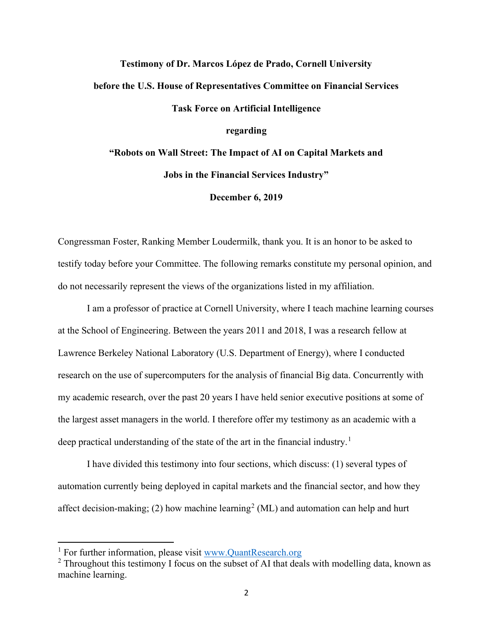# Testimony of Dr. Marcos López de Prado, Cornell University before the U.S. House of Representatives Committee on Financial Services Task Force on Artificial Intelligence regarding "Robots on Wall Street: The Impact of AI on Capital Markets and Jobs in the Financial Services Industry"

December 6, 2019

Congressman Foster, Ranking Member Loudermilk, thank you. It is an honor to be asked to testify today before your Committee. The following remarks constitute my personal opinion, and do not necessarily represent the views of the organizations listed in my affiliation.

I am a professor of practice at Cornell University, where I teach machine learning courses at the School of Engineering. Between the years 2011 and 2018, I was a research fellow at Lawrence Berkeley National Laboratory (U.S. Department of Energy), where I conducted research on the use of supercomputers for the analysis of financial Big data. Concurrently with my academic research, over the past 20 years I have held senior executive positions at some of the largest asset managers in the world. I therefore offer my testimony as an academic with a deep practical understanding of the state of the art in the financial industry.<sup>1</sup>

I have divided this testimony into four sections, which discuss: (1) several types of automation currently being deployed in capital markets and the financial sector, and how they affect decision-making; (2) how machine learning<sup>2</sup> (ML) and automation can help and hurt

<sup>&</sup>lt;sup>1</sup> For further information, please visit www.QuantResearch.org

 $2$  Throughout this testimony I focus on the subset of AI that deals with modelling data, known as machine learning.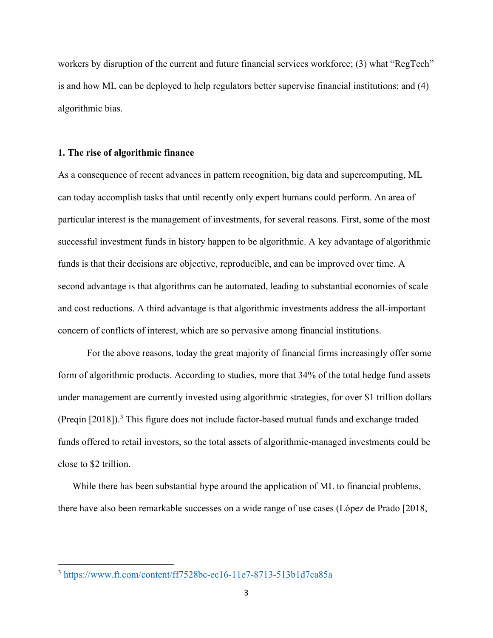workers by disruption of the current and future financial services workforce; (3) what "RegTech" is and how ML can be deployed to help regulators better supervise financial institutions; and (4) algorithmic bias.

#### 1. The rise of algorithmic finance

As a consequence of recent advances in pattern recognition, big data and supercomputing, ML can today accomplish tasks that until recently only expert humans could perform. An area of particular interest is the management of investments, for several reasons. First, some of the most successful investment funds in history happen to be algorithmic. A key advantage of algorithmic funds is that their decisions are objective, reproducible, and can be improved over time. A second advantage is that algorithms can be automated, leading to substantial economies of scale and cost reductions. A third advantage is that algorithmic investments address the all-important concern of conflicts of interest, which are so pervasive among financial institutions.

For the above reasons, today the great majority of financial firms increasingly offer some form of algorithmic products. According to studies, more that 34% of the total hedge fund assets under management are currently invested using algorithmic strategies, for over \$1 trillion dollars (Preqin  $[2018]$ ).<sup>3</sup> This figure does not include factor-based mutual funds and exchange traded funds offered to retail investors, so the total assets of algorithmic-managed investments could be close to \$2 trillion.

While there has been substantial hype around the application of ML to financial problems, there have also been remarkable successes on a wide range of use cases (López de Prado [2018,

<sup>3</sup> https://www.ft.com/content/ff7528bc-ec16-11e7-8713-513b1d7ca85a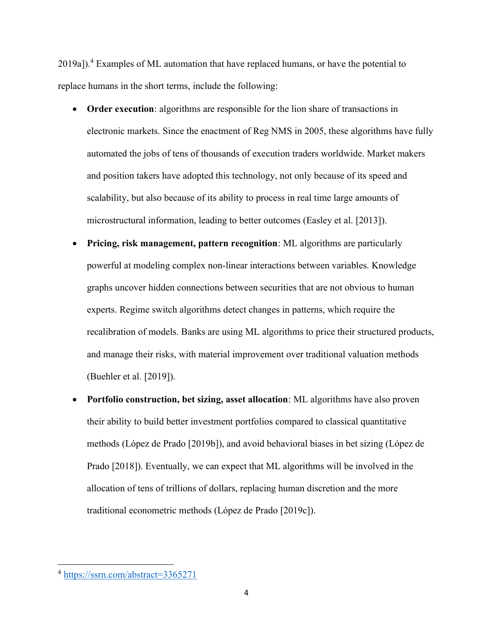2019a]).<sup>4</sup> Examples of ML automation that have replaced humans, or have the potential to replace humans in the short terms, include the following:

- Order execution: algorithms are responsible for the lion share of transactions in electronic markets. Since the enactment of Reg NMS in 2005, these algorithms have fully automated the jobs of tens of thousands of execution traders worldwide. Market makers and position takers have adopted this technology, not only because of its speed and scalability, but also because of its ability to process in real time large amounts of microstructural information, leading to better outcomes (Easley et al. [2013]).
- Pricing, risk management, pattern recognition: ML algorithms are particularly powerful at modeling complex non-linear interactions between variables. Knowledge graphs uncover hidden connections between securities that are not obvious to human experts. Regime switch algorithms detect changes in patterns, which require the recalibration of models. Banks are using ML algorithms to price their structured products, and manage their risks, with material improvement over traditional valuation methods (Buehler et al. [2019]).
- Portfolio construction, bet sizing, asset allocation: ML algorithms have also proven their ability to build better investment portfolios compared to classical quantitative methods (López de Prado [2019b]), and avoid behavioral biases in bet sizing (López de Prado [2018]). Eventually, we can expect that ML algorithms will be involved in the allocation of tens of trillions of dollars, replacing human discretion and the more traditional econometric methods (López de Prado [2019c]).

<sup>4</sup> https://ssrn.com/abstract=3365271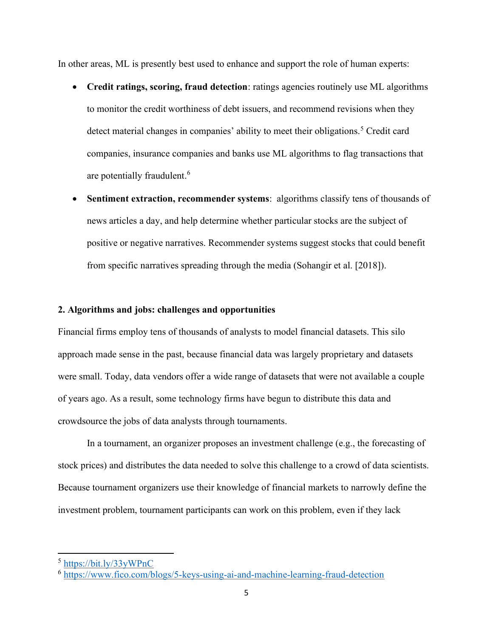In other areas, ML is presently best used to enhance and support the role of human experts:

- Credit ratings, scoring, fraud detection: ratings agencies routinely use ML algorithms to monitor the credit worthiness of debt issuers, and recommend revisions when they detect material changes in companies' ability to meet their obligations.<sup>5</sup> Credit card companies, insurance companies and banks use ML algorithms to flag transactions that are potentially fraudulent.<sup>6</sup>
- Sentiment extraction, recommender systems: algorithms classify tens of thousands of news articles a day, and help determine whether particular stocks are the subject of positive or negative narratives. Recommender systems suggest stocks that could benefit from specific narratives spreading through the media (Sohangir et al. [2018]).

## 2. Algorithms and jobs: challenges and opportunities

Financial firms employ tens of thousands of analysts to model financial datasets. This silo approach made sense in the past, because financial data was largely proprietary and datasets were small. Today, data vendors offer a wide range of datasets that were not available a couple of years ago. As a result, some technology firms have begun to distribute this data and crowdsource the jobs of data analysts through tournaments.

 In a tournament, an organizer proposes an investment challenge (e.g., the forecasting of stock prices) and distributes the data needed to solve this challenge to a crowd of data scientists. Because tournament organizers use their knowledge of financial markets to narrowly define the investment problem, tournament participants can work on this problem, even if they lack

<sup>5</sup> https://bit.ly/33yWPnC

<sup>6</sup> https://www.fico.com/blogs/5-keys-using-ai-and-machine-learning-fraud-detection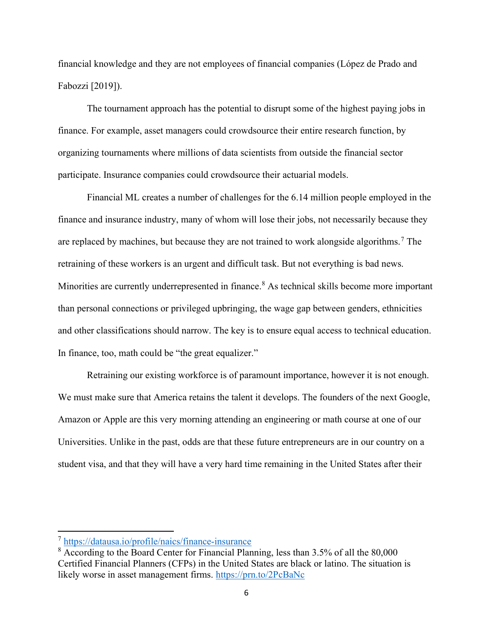financial knowledge and they are not employees of financial companies (López de Prado and Fabozzi [2019]).

The tournament approach has the potential to disrupt some of the highest paying jobs in finance. For example, asset managers could crowdsource their entire research function, by organizing tournaments where millions of data scientists from outside the financial sector participate. Insurance companies could crowdsource their actuarial models.

Financial ML creates a number of challenges for the 6.14 million people employed in the finance and insurance industry, many of whom will lose their jobs, not necessarily because they are replaced by machines, but because they are not trained to work alongside algorithms.<sup>7</sup> The retraining of these workers is an urgent and difficult task. But not everything is bad news. Minorities are currently underrepresented in finance.<sup>8</sup> As technical skills become more important than personal connections or privileged upbringing, the wage gap between genders, ethnicities and other classifications should narrow. The key is to ensure equal access to technical education. In finance, too, math could be "the great equalizer."

 Retraining our existing workforce is of paramount importance, however it is not enough. We must make sure that America retains the talent it develops. The founders of the next Google, Amazon or Apple are this very morning attending an engineering or math course at one of our Universities. Unlike in the past, odds are that these future entrepreneurs are in our country on a student visa, and that they will have a very hard time remaining in the United States after their

<sup>7</sup> https://datausa.io/profile/naics/finance-insurance

<sup>&</sup>lt;sup>8</sup> According to the Board Center for Financial Planning, less than 3.5% of all the 80,000 Certified Financial Planners (CFPs) in the United States are black or latino. The situation is likely worse in asset management firms. https://prn.to/2PcBaNc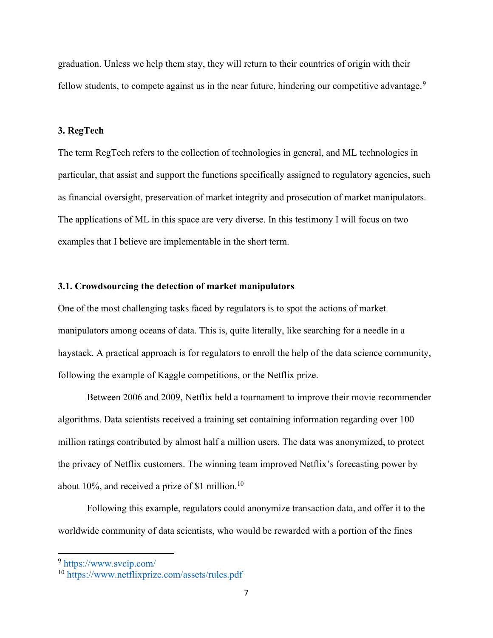graduation. Unless we help them stay, they will return to their countries of origin with their fellow students, to compete against us in the near future, hindering our competitive advantage.<sup>9</sup>

## 3. RegTech

The term RegTech refers to the collection of technologies in general, and ML technologies in particular, that assist and support the functions specifically assigned to regulatory agencies, such as financial oversight, preservation of market integrity and prosecution of market manipulators. The applications of ML in this space are very diverse. In this testimony I will focus on two examples that I believe are implementable in the short term.

#### 3.1. Crowdsourcing the detection of market manipulators

One of the most challenging tasks faced by regulators is to spot the actions of market manipulators among oceans of data. This is, quite literally, like searching for a needle in a haystack. A practical approach is for regulators to enroll the help of the data science community, following the example of Kaggle competitions, or the Netflix prize.

Between 2006 and 2009, Netflix held a tournament to improve their movie recommender algorithms. Data scientists received a training set containing information regarding over 100 million ratings contributed by almost half a million users. The data was anonymized, to protect the privacy of Netflix customers. The winning team improved Netflix's forecasting power by about 10%, and received a prize of \$1 million.<sup>10</sup>

Following this example, regulators could anonymize transaction data, and offer it to the worldwide community of data scientists, who would be rewarded with a portion of the fines

<sup>9</sup> https://www.svcip.com/

<sup>&</sup>lt;sup>10</sup> https://www.netflixprize.com/assets/rules.pdf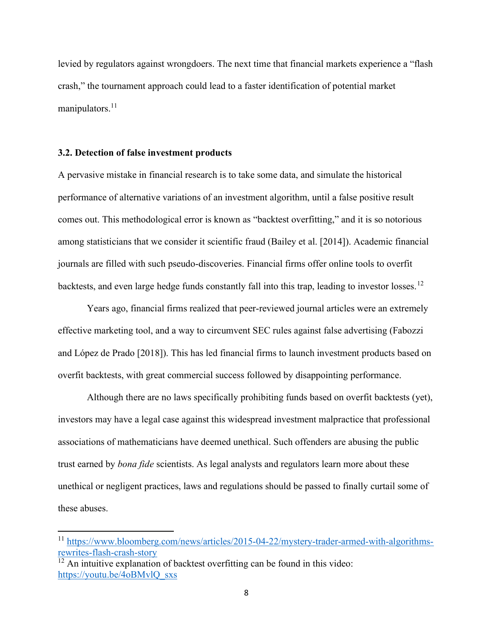levied by regulators against wrongdoers. The next time that financial markets experience a "flash crash," the tournament approach could lead to a faster identification of potential market manipulators. $11$ 

## 3.2. Detection of false investment products

A pervasive mistake in financial research is to take some data, and simulate the historical performance of alternative variations of an investment algorithm, until a false positive result comes out. This methodological error is known as "backtest overfitting," and it is so notorious among statisticians that we consider it scientific fraud (Bailey et al. [2014]). Academic financial journals are filled with such pseudo-discoveries. Financial firms offer online tools to overfit backtests, and even large hedge funds constantly fall into this trap, leading to investor losses.<sup>12</sup>

Years ago, financial firms realized that peer-reviewed journal articles were an extremely effective marketing tool, and a way to circumvent SEC rules against false advertising (Fabozzi and López de Prado [2018]). This has led financial firms to launch investment products based on overfit backtests, with great commercial success followed by disappointing performance.

Although there are no laws specifically prohibiting funds based on overfit backtests (yet), investors may have a legal case against this widespread investment malpractice that professional associations of mathematicians have deemed unethical. Such offenders are abusing the public trust earned by *bona fide* scientists. As legal analysts and regulators learn more about these unethical or negligent practices, laws and regulations should be passed to finally curtail some of these abuses.

<sup>11</sup> https://www.bloomberg.com/news/articles/2015-04-22/mystery-trader-armed-with-algorithmsrewrites-flash-crash-story

 $\frac{12}{2}$  An intuitive explanation of backtest overfitting can be found in this video: https://youtu.be/4oBMvlQ\_sxs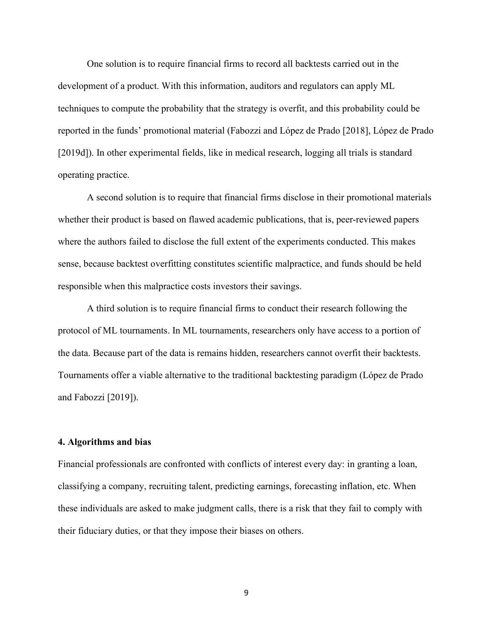One solution is to require financial firms to record all backtests carried out in the development of a product. With this information, auditors and regulators can apply ML techniques to compute the probability that the strategy is overfit, and this probability could be reported in the funds' promotional material (Fabozzi and López de Prado [2018], López de Prado [2019d]). In other experimental fields, like in medical research, logging all trials is standard operating practice.

A second solution is to require that financial firms disclose in their promotional materials whether their product is based on flawed academic publications, that is, peer-reviewed papers where the authors failed to disclose the full extent of the experiments conducted. This makes sense, because backtest overfitting constitutes scientific malpractice, and funds should be held responsible when this malpractice costs investors their savings.

A third solution is to require financial firms to conduct their research following the protocol of ML tournaments. In ML tournaments, researchers only have access to a portion of the data. Because part of the data is remains hidden, researchers cannot overfit their backtests. Tournaments offer a viable alternative to the traditional backtesting paradigm (López de Prado and Fabozzi [2019]).

#### 4. Algorithms and bias

Financial professionals are confronted with conflicts of interest every day: in granting a loan, classifying a company, recruiting talent, predicting earnings, forecasting inflation, etc. When these individuals are asked to make judgment calls, there is a risk that they fail to comply with their fiduciary duties, or that they impose their biases on others.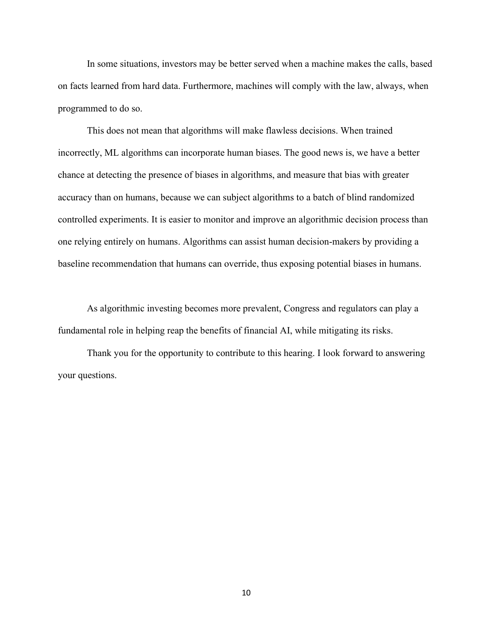In some situations, investors may be better served when a machine makes the calls, based on facts learned from hard data. Furthermore, machines will comply with the law, always, when programmed to do so.

This does not mean that algorithms will make flawless decisions. When trained incorrectly, ML algorithms can incorporate human biases. The good news is, we have a better chance at detecting the presence of biases in algorithms, and measure that bias with greater accuracy than on humans, because we can subject algorithms to a batch of blind randomized controlled experiments. It is easier to monitor and improve an algorithmic decision process than one relying entirely on humans. Algorithms can assist human decision-makers by providing a baseline recommendation that humans can override, thus exposing potential biases in humans.

As algorithmic investing becomes more prevalent, Congress and regulators can play a fundamental role in helping reap the benefits of financial AI, while mitigating its risks.

Thank you for the opportunity to contribute to this hearing. I look forward to answering your questions.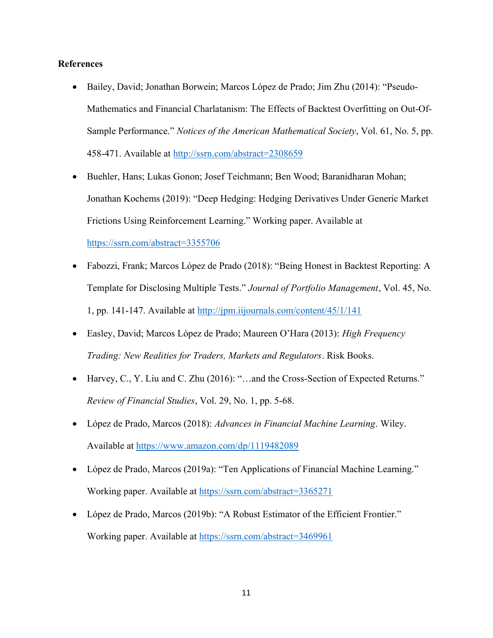## References

- Bailey, David; Jonathan Borwein; Marcos López de Prado; Jim Zhu (2014): "Pseudo-Mathematics and Financial Charlatanism: The Effects of Backtest Overfitting on Out-Of-Sample Performance." Notices of the American Mathematical Society, Vol. 61, No. 5, pp. 458-471. Available at http://ssrn.com/abstract=2308659
- Buehler, Hans; Lukas Gonon; Josef Teichmann; Ben Wood; Baranidharan Mohan; Jonathan Kochems (2019): "Deep Hedging: Hedging Derivatives Under Generic Market Frictions Using Reinforcement Learning." Working paper. Available at https://ssrn.com/abstract=3355706
- Fabozzi, Frank; Marcos López de Prado (2018): "Being Honest in Backtest Reporting: A Template for Disclosing Multiple Tests." Journal of Portfolio Management, Vol. 45, No. 1, pp. 141-147. Available at http://jpm.iijournals.com/content/45/1/141
- Easley, David; Marcos López de Prado; Maureen O'Hara (2013): High Frequency Trading: New Realities for Traders, Markets and Regulators. Risk Books.
- Harvey, C., Y. Liu and C. Zhu (2016): "…and the Cross-Section of Expected Returns." Review of Financial Studies, Vol. 29, No. 1, pp. 5-68.
- López de Prado, Marcos (2018): Advances in Financial Machine Learning. Wiley. Available at https://www.amazon.com/dp/1119482089
- López de Prado, Marcos (2019a): "Ten Applications of Financial Machine Learning." Working paper. Available at https://ssrn.com/abstract=3365271
- López de Prado, Marcos (2019b): "A Robust Estimator of the Efficient Frontier." Working paper. Available at https://ssrn.com/abstract=3469961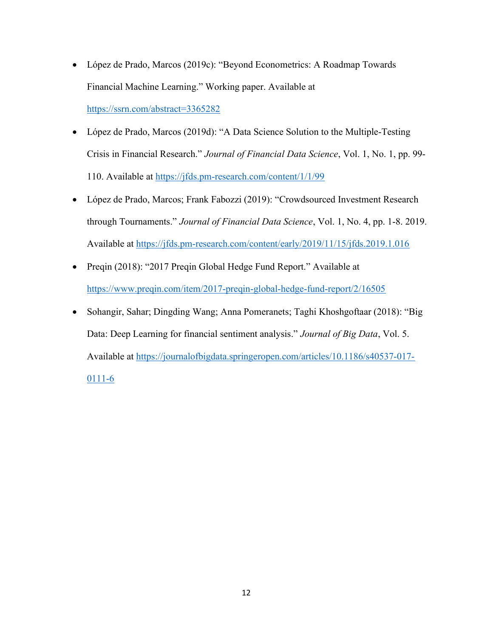- López de Prado, Marcos (2019c): "Beyond Econometrics: A Roadmap Towards Financial Machine Learning." Working paper. Available at https://ssrn.com/abstract=3365282
- López de Prado, Marcos (2019d): "A Data Science Solution to the Multiple-Testing Crisis in Financial Research." Journal of Financial Data Science, Vol. 1, No. 1, pp. 99- 110. Available at https://jfds.pm-research.com/content/1/1/99
- López de Prado, Marcos; Frank Fabozzi (2019): "Crowdsourced Investment Research through Tournaments." Journal of Financial Data Science, Vol. 1, No. 4, pp. 1-8. 2019. Available at https://jfds.pm-research.com/content/early/2019/11/15/jfds.2019.1.016
- Preqin (2018): "2017 Preqin Global Hedge Fund Report." Available at https://www.preqin.com/item/2017-preqin-global-hedge-fund-report/2/16505
- Sohangir, Sahar; Dingding Wang; Anna Pomeranets; Taghi Khoshgoftaar (2018): "Big Data: Deep Learning for financial sentiment analysis." Journal of Big Data, Vol. 5. Available at https://journalofbigdata.springeropen.com/articles/10.1186/s40537-017- 0111-6